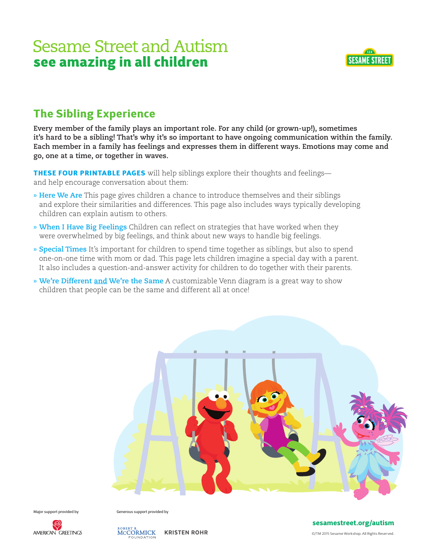

## The Sibling Experience

**Every member of the family plays an important role. For any child (or grown-up!), sometimes it's hard to be a sibling! That's why it's so important to have ongoing communication within the family. Each member in a family has feelings and expresses them in different ways. Emotions may come and go, one at a time, or together in waves.**

THESE FOUR PRINTABLE PAGES will help siblings explore their thoughts and feelings and help encourage conversation about them:

- **» Here We Are** This page gives children a chance to introduce themselves and their siblings and explore their similarities and differences. This page also includes ways typically developing children can explain autism to others.
- **» When I Have Big Feelings** Children can reflect on strategies that have worked when they were overwhelmed by big feelings, and think about new ways to handle big feelings.
- **» Special Times** It's important for children to spend time together as siblings, but also to spend one-on-one time with mom or dad. This page lets children imagine a special day with a parent. It also includes a question-and-answer activity for children to do together with their parents.
- **» We're Different and We're the Same** A customizable Venn diagram is a great way to show children that people can be the same and different all at once!



Major support provided by Generous support provided by



KRISTEN ROHR MCCORMICK

sesamestreet.org/autism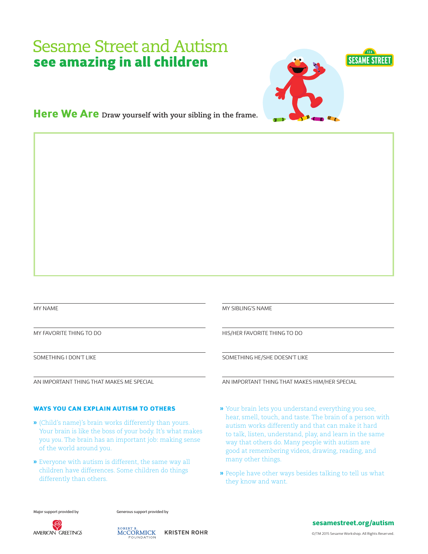

Here We Are **Draw yourself with your sibling in the frame.** 

MY NAME

MY FAVORITE THING TO DO

SOMETHING I DON'T LIKE

AN IMPORTANT THING THAT MAKES ME SPECIAL

#### WAYS YOU CAN EXPLAIN AUTISM TO OTHERS

- **»** (Child's name)'s brain works differently than yours. Your brain is like the boss of your body. It's what makes you *you*. The brain has an important job: making sense of the world around you.
- **»** Everyone with autism is different, the same way all children have differences. Some children do things differently than others.

MY SIBLING'S NAME

HIS/HER FAVORITE THING TO DO

SOMETHING HE/SHE DOESN'T LIKE

AN IMPORTANT THING THAT MAKES HIM/HER SPECIAL

- **»** Your brain lets you understand everything you see, hear, smell, touch, and taste. The brain of a person with autism works differently and that can make it hard to talk, listen, understand, play, and learn in the same way that others do. Many people with autism are good at remembering videos, drawing, reading, and many other things.
- **»** People have other ways besides talking to tell us what they know and want.

Major support provided by Generous support provided by





KRISTEN ROHR

#### sesamestreet.org/autism

©/TM 2015 Sesame Workshop. All Rights Reserved.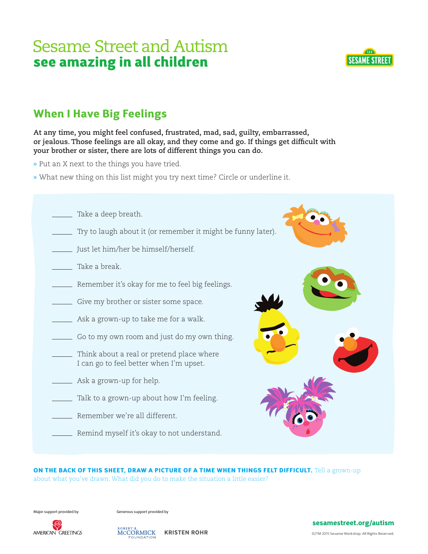

## When I Have Big Feelings

**At any time, you might feel confused, frustrated, mad, sad, guilty, embarrassed, or jealous. Those feelings are all okay, and they come and go. If things get difficult with your brother or sister, there are lots of different things you can do.**

- **»** Put an X next to the things you have tried.
- **»** What new thing on this list might you try next time? Circle or underline it.
	- **Take a deep breath.** Try to laugh about it (or remember it might be funny later). Just let him/her be himself/herself. **Take a break. EXECUTE:** Remember it's okay for me to feel big feelings. Give my brother or sister some space. Ask a grown-up to take me for a walk. Go to my own room and just do my own thing. Think about a real or pretend place where I can go to feel better when I'm upset. Ask a grown-up for help. Talk to a grown-up about how I'm feeling. Remember we're all different. **EXECUTE:** Remind myself it's okay to not understand.

ON THE BACK OF THIS SHEET, DRAW A PICTURE OF A TIME WHEN THINGS FELT DIFFICULT. Tell a grown-up about what you've drawn. What did you do to make the situation a little easier?

Major support provided by Generous support provided by





sesamestreet.org/autism